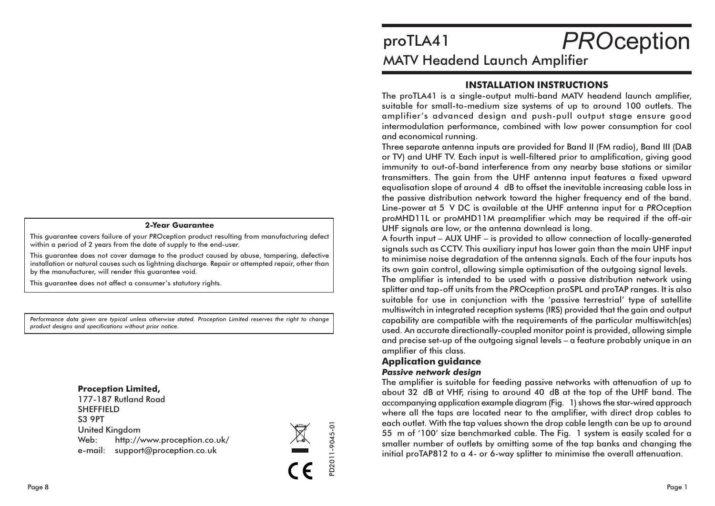#### **2-Year Guarantee**

This quarantee covers failure of your PROception product resulting from manufacturing defect within a period of 2 years from the date of supply to the end-user.

This guarantee does not cover damage to the product caused by abuse, tampering, defective installation or natural causes such as lightning discharge. Repair or attempted repair, other than by the manufacturer, will render this guarantee void.

This quarantee does not affect a consumer's statutory rights.

Performance data given are typical unless otherwise stated. Proception Limited reserves the right to change product designs and specifications without prior notice.

#### **Proception Limited,**

177-187 Rutland Road **SHEFFIELD S3 9PT United Kingdom** Web: http://www.proception.co.uk/ e-mail: support@proception.co.uk



# **PROception** proTLA41 **MATV Headend Launch Amplifier**

# **INSTALLATION INSTRUCTIONS**

The proTLA41 is a single-output multi-band MATV headend launch amplifier, suitable for small-to-medium size systems of up to around 100 outlets. The amplifier's advanced design and push-pull output stage ensure good intermodulation performance, combined with low power consumption for cool and economical running.

Three separate antenna inputs are provided for Band II (FM radio), Band III (DAB or TV) and UHF TV. Each input is well-filtered prior to amplification, giving good immunity to out-of-band interference from any nearby base stations or similar transmitters. The gain from the UHF antenna input features a fixed upward equalisation slope of around 4 dB to offset the inevitable increasing cable loss in the passive distribution network toward the higher frequency end of the band. Line-power at 5 V DC is available at the UHF antenna input for a PROception proMHD11L or proMHD11M preamplifier which may be required if the off-air UHF signals are low, or the antenna downlead is long.

A fourth input – AUX UHF – is provided to allow connection of locally-generated signals such as CCTV. This auxiliary input has lower gain than the main UHF input to minimise noise degradation of the antenna signals. Each of the four inputs has its own gain control, allowing simple optimisation of the outgoing signal levels.

The amplifier is intended to be used with a passive distribution network using splitter and tap-off units from the PROception proSPL and proTAP ranges. It is also suitable for use in conjunction with the 'passive terrestrial' type of satellite multiswitch in integrated reception systems (IRS) provided that the gain and output capability are compatible with the requirements of the particular multiswitch(es) used. An accurate directionally-coupled monitor point is provided, allowing simple and precise set-up of the outgoing signal levels – a feature probably unique in an amplifier of this class.

### **Application quidance**

#### **Passive network desian**

The amplifier is suitable for feeding passive networks with attenuation of up to about 32 dB at VHF, rising to around 40 dB at the top of the UHF band. The accompanying application example diagram (Fig. 1) shows the star-wired approach where all the taps are located near to the amplifier, with direct drop cables to each outlet. With the tap values shown the drop cable length can be up to around 55 m of '100' size benchmarked cable. The Fig. 1 system is easily scaled for a smaller number of outlets by omitting some of the tap banks and changing the initial proTAP812 to a 4- or 6-way splitter to minimise the overall attenuation.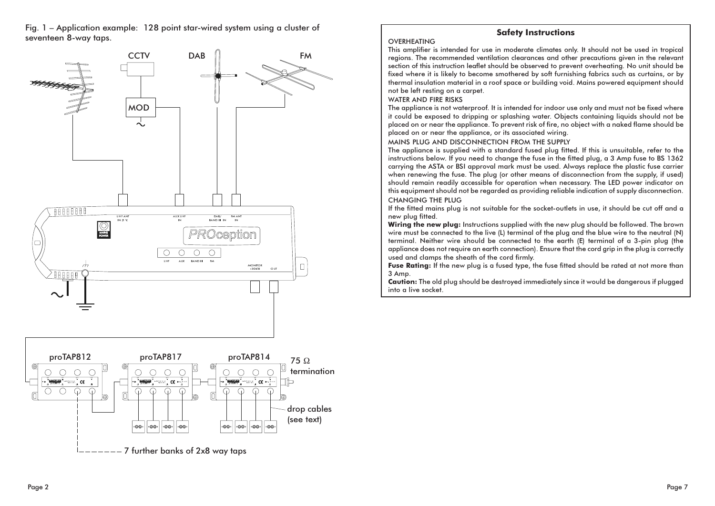Fig. 1 - Application example: 128 point star-wired system using a cluster of seventeen 8-way taps.





### **Safety Instructions**

#### **OVERHEATING**

This amplifier is intended for use in moderate climates only. It should not be used in tropical regions. The recommended ventilation clearances and other precautions given in the relevant section of this instruction leaflet should be observed to prevent overheating. No unit should be fixed where it is likely to become smothered by soft furnishing fabrics such as curtains, or by thermal insulation material in a roof space or building void. Mains powered equipment should not be left resting on a carpet.

#### **WATER AND FIRE RISKS**

The appliance is not waterproof. It is intended for indoor use only and must not be fixed where it could be exposed to dripping or splashing water. Objects containing liquids should not be placed on or near the appliance. To prevent risk of fire, no object with a naked flame should be placed on or near the appliance, or its associated wiring.

#### MAINS PLUG AND DISCONNECTION FROM THE SUPPLY

The appliance is supplied with a standard fused plug fitted. If this is unsuitable, refer to the instructions below. If you need to change the fuse in the fitted plug, a 3 Amp fuse to BS 1362 carrying the ASTA or BSI approval mark must be used. Always replace the plastic fuse carrier when renewing the fuse. The plug (or other means of disconnection from the supply, if used) should remain readily accessible for operation when necessary. The LED power indicator on this equipment should not be regarded as providing reliable indication of supply disconnection. **CHANGING THE PLUG** 

If the fitted mains plug is not suitable for the socket-outlets in use, it should be cut off and a new plug fitted.

Wiring the new plug: Instructions supplied with the new plug should be followed. The brown wire must be connected to the live (L) terminal of the plug and the blue wire to the neutral (N) terminal. Neither wire should be connected to the earth (E) terminal of a 3-pin plug (the appliance does not require an earth connection). Ensure that the cord grip in the plug is correctly used and clamps the sheath of the cord firmly.

Fuse Rating: If the new plug is a fused type, the fuse fitted should be rated at not more than 3 Amp.

**Caution:** The old plug should be destroyed immediately since it would be dangerous if plugged into a live socket.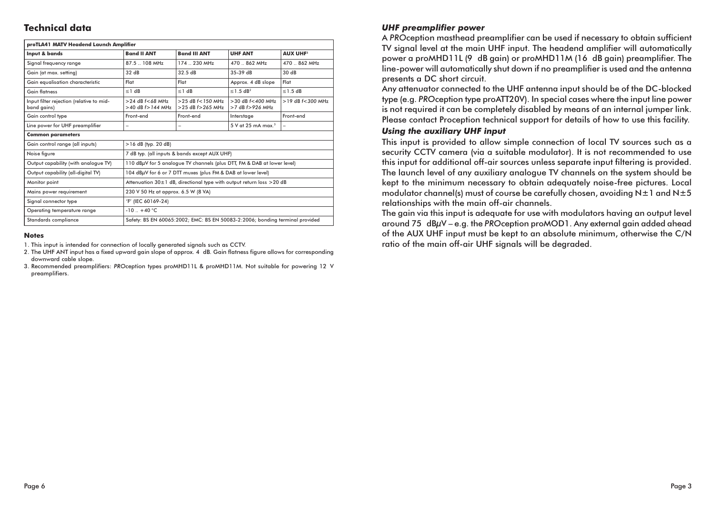# **Technical data**

| proTLA41 MATV Headend Launch Amplifier                  |                                                                              |                                                   |                                               |                          |  |  |  |  |
|---------------------------------------------------------|------------------------------------------------------------------------------|---------------------------------------------------|-----------------------------------------------|--------------------------|--|--|--|--|
| Input & bands                                           | <b>Band II ANT</b>                                                           | <b>Band III ANT</b>                               | <b>UHF ANT</b>                                | <b>AUX UHF1</b>          |  |  |  |  |
| Signal frequency range                                  | 87.5 . 108 MHz                                                               | 174  230 MHz                                      | 470  862 MHz                                  | 470  862 MHz             |  |  |  |  |
| Gain (at max. setting)                                  | 32dB                                                                         | 32.5dB                                            | 35-39 dB                                      | 30 dB                    |  |  |  |  |
| Gain equalisation characteristic                        | Flat                                                                         | Flat                                              | Approx. 4 dB slope                            | Flat                     |  |  |  |  |
| Gain flatness                                           | $\leq$ 1 dB                                                                  | $\leq$ 1 dB                                       | $\leq$ 1.5 dB <sup>2</sup>                    | $\leq$ 1.5 dB            |  |  |  |  |
| Input filter rejection (relative to mid-<br>band gains) | $>$ 24 dB $f < 68$ MHz<br>$>40$ dB $f > 144$ MHz                             | $>$ 25 dB $f$ < 150 MHz<br>$>25$ dB $f > 265$ MHz | $>30$ dB $f<400$ MHz<br>$>7$ dB $f > 926$ MHz | $>19$ dB $f < 300$ MHz   |  |  |  |  |
| Gain control type                                       | Front-end                                                                    | Front-end                                         | Interstage                                    | Front-end                |  |  |  |  |
| Line power for UHF preamplifier                         | $\overline{\phantom{0}}$                                                     |                                                   | $5$ V at 25 mA max. $3$                       | $\overline{\phantom{0}}$ |  |  |  |  |
| <b>Common parameters</b>                                |                                                                              |                                                   |                                               |                          |  |  |  |  |
| Gain control range (all inputs)                         | $>16$ dB (typ. 20 dB)                                                        |                                                   |                                               |                          |  |  |  |  |
| Noise figure                                            | 7 dB typ. (all inputs & bands except AUX UHF)                                |                                                   |                                               |                          |  |  |  |  |
| Output capability (with analogue TV)                    | 110 dBµV for 5 analogue TV channels (plus DTT, FM & DAB at lower level)      |                                                   |                                               |                          |  |  |  |  |
| Output capability (all-digital TV)                      | 104 dBµV for 6 or 7 DTT muxes (plus FM & DAB at lower level)                 |                                                   |                                               |                          |  |  |  |  |
| Monitor point                                           | Attenuation 30±1 dB, directional type with output return loss >20 dB         |                                                   |                                               |                          |  |  |  |  |
| Mains power requirement                                 | 230 V 50 Hz at approx. 6.5 W (8 VA)                                          |                                                   |                                               |                          |  |  |  |  |
| Signal connector type                                   | 'F' (IEC 60169-24)                                                           |                                                   |                                               |                          |  |  |  |  |
| Operating temperature range                             | $-10 + 40$ °C                                                                |                                                   |                                               |                          |  |  |  |  |
| Standards compliance                                    | Safety: BS EN 60065:2002; EMC: BS EN 50083-2:2006; bonding terminal provided |                                                   |                                               |                          |  |  |  |  |

#### **Notes**

1. This input is intended for connection of locally generated signals such as CCTV.

2. The UHF ANT input has a fixed upward gain slope of approx. 4 dB. Gain flatness figure allows for corresponding downward cable slope

3. Recommended preamplifiers: PROception types proMHD11L & proMHD11M. Not suitable for powering 12 V preamplifiers.

### **UHF preamplifier power**

A PROception masthead preamplifier can be used if necessary to obtain sufficient TV signal level at the main UHF input. The headend amplifier will automatically power a proMHD11L (9 dB gain) or proMHD11M (16 dB gain) preamplifier. The line-power will automatically shut down if no preamplifier is used and the antenna presents a DC short circuit.

Any attenuator connected to the UHF antenna input should be of the DC-blocked type (e.g. PROception type proATT20V). In special cases where the input line power is not required it can be completely disabled by means of an internal jumper link. Please contact Proception technical support for details of how to use this facility.

#### **Using the auxiliary UHF input**

This input is provided to allow simple connection of local TV sources such as a security CCTV camera (via a suitable modulator). It is not recommended to use this input for additional off-air sources unless separate input filtering is provided. The launch level of any auxiliary analogue TV channels on the system should be kept to the minimum necessary to obtain adequately noise-free pictures. Local modulator channel(s) must of course be carefully chosen, avoiding N±1 and N±5 relationships with the main off-air channels.

The gain via this input is adequate for use with modulators having an output level around 75 dBµV - e.g. the PROception proMOD1. Any external gain added ahead of the AUX UHF input must be kept to an absolute minimum, otherwise the C/N ratio of the main off-air UHF signals will be degraded.